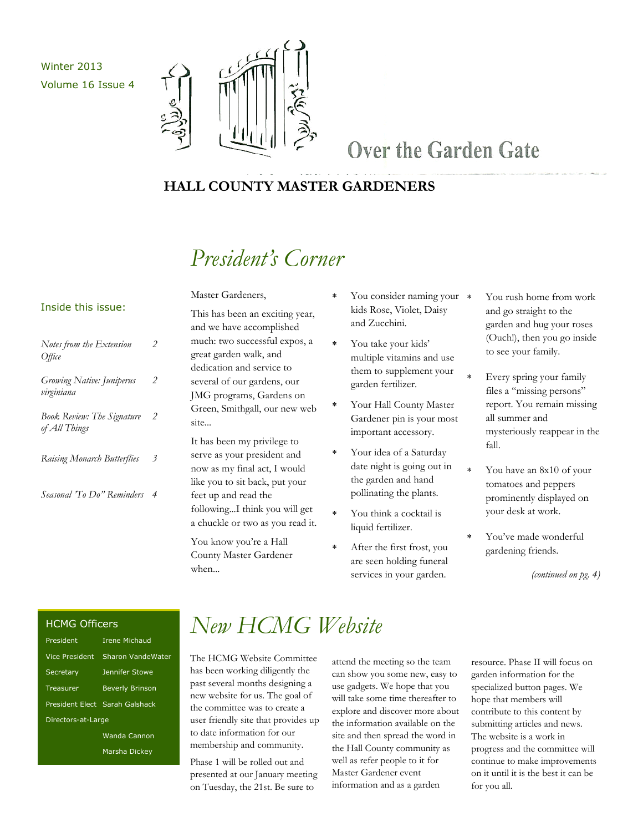Winter 2013 Volume 16 Issue 4



## Over the Garden Gate

### **HALL COUNTY MASTER GARDENERS**

# *President's Corner*

#### Inside this issue:

| Notes from the Extension<br><i>Office</i>          | 2 |
|----------------------------------------------------|---|
| Growing Native: Juniperus<br>virginiana            | 2 |
| <b>Book Review: The Signature</b><br>of All Things | 2 |
| Raising Monarch Butterflies                        | 3 |
| Seasonal 'To Do" Reminders                         |   |

This has been an exciting year, and we have accomplished much: two successful expos, a great garden walk, and dedication and service to several of our gardens, our JMG programs, Gardens on Green, Smithgall, our new web site...

Master Gardeners,

It has been my privilege to serve as your president and now as my final act, I would like you to sit back, put your feet up and read the following...I think you will get a chuckle or two as you read it.

You know you're a Hall County Master Gardener when...

- You consider naming your  $*$ kids Rose, Violet, Daisy and Zucchini.
- You take your kids' multiple vitamins and use them to supplement your garden fertilizer.
- Your Hall County Master Gardener pin is your most important accessory.
- Your idea of a Saturday date night is going out in the garden and hand pollinating the plants.
- You think a cocktail is liquid fertilizer.
- After the first frost, you are seen holding funeral services in your garden.
- You rush home from work and go straight to the garden and hug your roses (Ouch!), then you go inside to see your family.
- Every spring your family files a "missing persons" report. You remain missing all summer and mysteriously reappear in the fall.
- You have an 8x10 of your tomatoes and peppers prominently displayed on your desk at work.
- You've made wonderful gardening friends.

*(continued on pg. 4)*

#### HCMG Officers

| President          | <b>Irene Michaud</b>           |  |
|--------------------|--------------------------------|--|
| Vice President     | Sharon VandeWater              |  |
| Secretary          | Jennifer Stowe                 |  |
| Treasurer          | <b>Beverly Brinson</b>         |  |
|                    | President Elect Sarah Galshack |  |
| Directors-at-Large |                                |  |
|                    | Wanda Cannon                   |  |
|                    | Marsha Dickev                  |  |

## *New HCMG Website*

The HCMG Website Committee has been working diligently the past several months designing a new website for us. The goal of the committee was to create a user friendly site that provides up to date information for our membership and community.

Phase 1 will be rolled out and presented at our January meeting on Tuesday, the 21st. Be sure to

attend the meeting so the team can show you some new, easy to use gadgets. We hope that you will take some time thereafter to explore and discover more about the information available on the site and then spread the word in the Hall County community as well as refer people to it for Master Gardener event information and as a garden

resource. Phase II will focus on garden information for the specialized button pages. We hope that members will contribute to this content by submitting articles and news. The website is a work in progress and the committee will continue to make improvements on it until it is the best it can be for you all.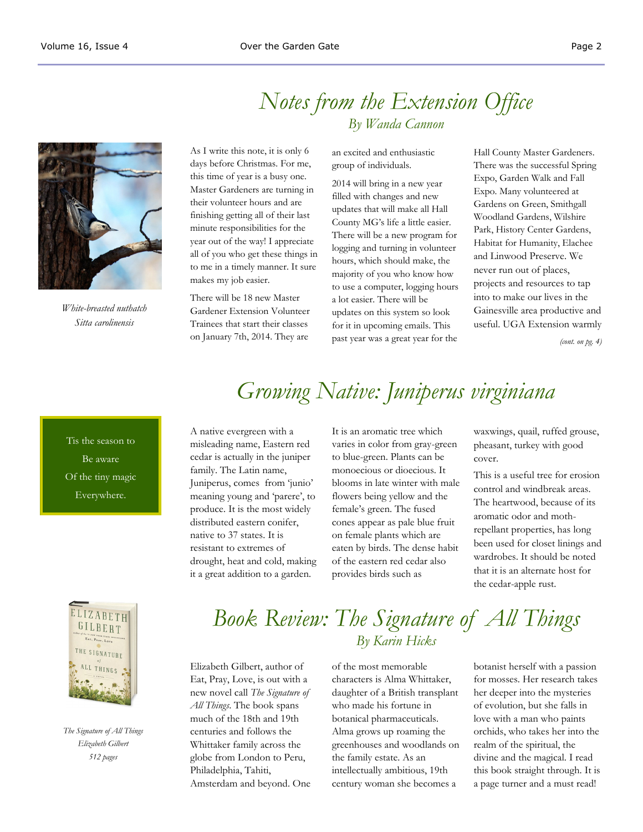

*White-breasted nuthatch Sitta carolinensis*

As I write this note, it is only 6 days before Christmas. For me, this time of year is a busy one. Master Gardeners are turning in their volunteer hours and are finishing getting all of their last minute responsibilities for the year out of the way! I appreciate all of you who get these things in *By Wanda Cannon*

There will be 18 new Master Gardener Extension Volunteer Trainees that start their classes on January 7th, 2014. They are

to me in a timely manner. It sure

makes my job easier.

an excited and enthusiastic group of individuals.

*Notes from the Extension Office*

2014 will bring in a new year filled with changes and new updates that will make all Hall County MG's life a little easier. There will be a new program for logging and turning in volunteer hours, which should make, the majority of you who know how to use a computer, logging hours a lot easier. There will be updates on this system so look for it in upcoming emails. This past year was a great year for the

Hall County Master Gardeners. There was the successful Spring Expo, Garden Walk and Fall Expo. Many volunteered at Gardens on Green, Smithgall Woodland Gardens, Wilshire Park, History Center Gardens, Habitat for Humanity, Elachee and Linwood Preserve. We never run out of places, projects and resources to tap into to make our lives in the Gainesville area productive and useful. UGA Extension warmly

*(cont. on pg. 4)*

Tis the season to Be aware Of the tiny magic Everywhere.

# *Growing Native: Juniperus virginiana*

A native evergreen with a misleading name, Eastern red cedar is actually in the juniper family. The Latin name, Juniperus, comes from 'junio' meaning young and 'parere', to produce. It is the most widely distributed eastern conifer, native to 37 states. It is resistant to extremes of drought, heat and cold, making it a great addition to a garden.

It is an aromatic tree which varies in color from gray-green to blue-green. Plants can be monoecious or dioecious. It blooms in late winter with male flowers being yellow and the female's green. The fused cones appear as pale blue fruit on female plants which are eaten by birds. The dense habit of the eastern red cedar also provides birds such as

waxwings, quail, ruffed grouse, pheasant, turkey with good cover.

This is a useful tree for erosion control and windbreak areas. The heartwood, because of its aromatic odor and mothrepellant properties, has long been used for closet linings and wardrobes. It should be noted that it is an alternate host for the cedar-apple rust.



*The Signature of All Things Elizabeth Gilbert 512 pages* 

### *Book Review: The Signature of All Things By Karin Hicks*

Elizabeth Gilbert, author of Eat, Pray, Love, is out with a new novel call *The Signature of All Things*. The book spans much of the 18th and 19th centuries and follows the Whittaker family across the globe from London to Peru, Philadelphia, Tahiti, Amsterdam and beyond. One of the most memorable characters is Alma Whittaker, daughter of a British transplant who made his fortune in botanical pharmaceuticals. Alma grows up roaming the greenhouses and woodlands on the family estate. As an intellectually ambitious, 19th century woman she becomes a

botanist herself with a passion for mosses. Her research takes her deeper into the mysteries of evolution, but she falls in love with a man who paints orchids, who takes her into the realm of the spiritual, the divine and the magical. I read this book straight through. It is a page turner and a must read!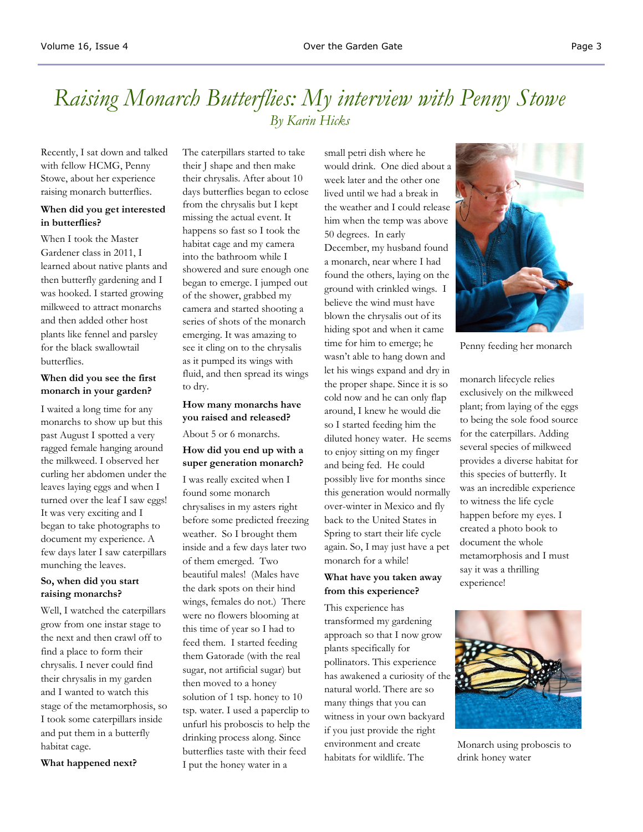## *Raising Monarch Butterflies: My interview with Penny Stowe By Karin Hicks*

Recently, I sat down and talked with fellow HCMG, Penny Stowe, about her experience raising monarch butterflies.

#### **When did you get interested in butterflies?**

When I took the Master Gardener class in 2011, I learned about native plants and then butterfly gardening and I was hooked. I started growing milkweed to attract monarchs and then added other host plants like fennel and parsley for the black swallowtail butterflies.

#### **When did you see the first monarch in your garden?**

I waited a long time for any monarchs to show up but this past August I spotted a very ragged female hanging around the milkweed. I observed her curling her abdomen under the leaves laying eggs and when I turned over the leaf I saw eggs! It was very exciting and I began to take photographs to document my experience. A few days later I saw caterpillars munching the leaves.

#### **So, when did you start raising monarchs?**

Well, I watched the caterpillars grow from one instar stage to the next and then crawl off to find a place to form their chrysalis. I never could find their chrysalis in my garden and I wanted to watch this stage of the metamorphosis, so I took some caterpillars inside and put them in a butterfly habitat cage.

**What happened next?**

The caterpillars started to take their J shape and then make their chrysalis. After about 10 days butterflies began to eclose from the chrysalis but I kept missing the actual event. It happens so fast so I took the habitat cage and my camera into the bathroom while I showered and sure enough one began to emerge. I jumped out of the shower, grabbed my camera and started shooting a series of shots of the monarch emerging. It was amazing to see it cling on to the chrysalis as it pumped its wings with fluid, and then spread its wings to dry.

#### **How many monarchs have you raised and released?** About 5 or 6 monarchs.

### **How did you end up with a super generation monarch?**

I was really excited when I found some monarch chrysalises in my asters right before some predicted freezing weather. So I brought them inside and a few days later two of them emerged. Two beautiful males! (Males have the dark spots on their hind wings, females do not.) There were no flowers blooming at this time of year so I had to feed them. I started feeding them Gatorade (with the real sugar, not artificial sugar) but then moved to a honey solution of 1 tsp. honey to 10 tsp. water. I used a paperclip to unfurl his proboscis to help the drinking process along. Since butterflies taste with their feed I put the honey water in a

small petri dish where he would drink. One died about a week later and the other one lived until we had a break in the weather and I could release him when the temp was above 50 degrees. In early December, my husband found a monarch, near where I had found the others, laying on the ground with crinkled wings. I believe the wind must have blown the chrysalis out of its hiding spot and when it came time for him to emerge; he wasn't able to hang down and let his wings expand and dry in the proper shape. Since it is so cold now and he can only flap around, I knew he would die so I started feeding him the diluted honey water. He seems to enjoy sitting on my finger and being fed. He could possibly live for months since this generation would normally over-winter in Mexico and fly back to the United States in Spring to start their life cycle again. So, I may just have a pet monarch for a while!

#### **What have you taken away from this experience?**

This experience has transformed my gardening approach so that I now grow plants specifically for pollinators. This experience has awakened a curiosity of the natural world. There are so many things that you can witness in your own backyard if you just provide the right environment and create habitats for wildlife. The



Penny feeding her monarch

monarch lifecycle relies exclusively on the milkweed plant; from laying of the eggs to being the sole food source for the caterpillars. Adding several species of milkweed provides a diverse habitat for this species of butterfly. It was an incredible experience to witness the life cycle happen before my eyes. I created a photo book to document the whole metamorphosis and I must say it was a thrilling experience!



Monarch using proboscis to drink honey water